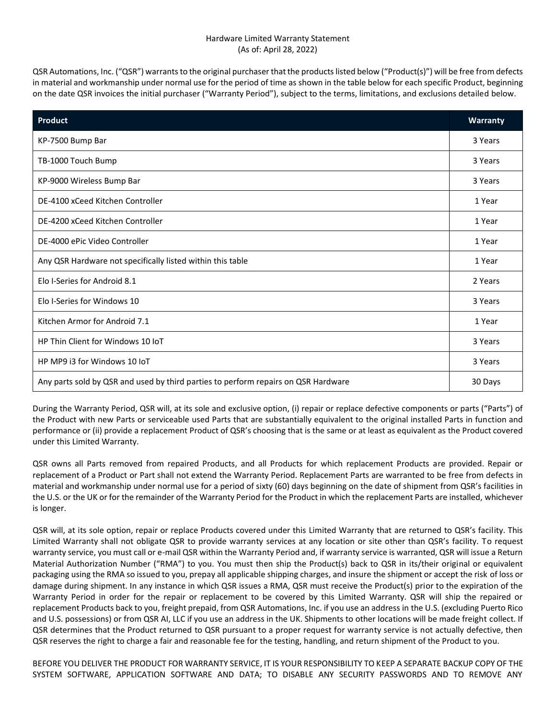## Hardware Limited Warranty Statement (As of: April 28, 2022)

QSR Automations, Inc. ("QSR") warrants to the original purchaser that the products listed below ("Product(s)") will be free from defects in material and workmanship under normal use for the period of time as shown in the table below for each specific Product, beginning on the date QSR invoices the initial purchaser ("Warranty Period"), subject to the terms, limitations, and exclusions detailed below.

| <b>Product</b>                                                                     | <b>Warranty</b> |
|------------------------------------------------------------------------------------|-----------------|
| KP-7500 Bump Bar                                                                   | 3 Years         |
| TB-1000 Touch Bump                                                                 | 3 Years         |
| KP-9000 Wireless Bump Bar                                                          | 3 Years         |
| DE-4100 xCeed Kitchen Controller                                                   | 1 Year          |
| DE-4200 xCeed Kitchen Controller                                                   | 1 Year          |
| DE-4000 ePic Video Controller                                                      | 1 Year          |
| Any QSR Hardware not specifically listed within this table                         | 1 Year          |
| Elo I-Series for Android 8.1                                                       | 2 Years         |
| Elo I-Series for Windows 10                                                        | 3 Years         |
| Kitchen Armor for Android 7.1                                                      | 1 Year          |
| HP Thin Client for Windows 10 IoT                                                  | 3 Years         |
| HP MP9 i3 for Windows 10 IoT                                                       | 3 Years         |
| Any parts sold by QSR and used by third parties to perform repairs on QSR Hardware | 30 Days         |

During the Warranty Period, QSR will, at its sole and exclusive option, (i) repair or replace defective components or parts ("Parts") of the Product with new Parts or serviceable used Parts that are substantially equivalent to the original installed Parts in function and performance or (ii) provide a replacement Product of QSR's choosing that is the same or at least as equivalent as the Product covered under this Limited Warranty.

QSR owns all Parts removed from repaired Products, and all Products for which replacement Products are provided. Repair or replacement of a Product or Part shall not extend the Warranty Period. Replacement Parts are warranted to be free from defects in material and workmanship under normal use for a period of sixty (60) days beginning on the date of shipment from QSR's facilities in the U.S. or the UK or for the remainder of the Warranty Period for the Product in which the replacement Parts are installed, whichever is longer.

QSR will, at its sole option, repair or replace Products covered under this Limited Warranty that are returned to QSR's facility. This Limited Warranty shall not obligate QSR to provide warranty services at any location or site other than QSR's facility. To request warranty service, you must call or e-mail QSR within the Warranty Period and, if warranty service is warranted, QSR will issue a Return Material Authorization Number ("RMA") to you. You must then ship the Product(s) back to QSR in its/their original or equivalent packaging using the RMA so issued to you, prepay all applicable shipping charges, and insure the shipment or accept the risk of loss or damage during shipment. In any instance in which QSR issues a RMA, QSR must receive the Product(s) prior to the expiration of the Warranty Period in order for the repair or replacement to be covered by this Limited Warranty. QSR will ship the repaired or replacement Products back to you, freight prepaid, from QSR Automations, Inc. if you use an address in the U.S. (excluding Puerto Rico and U.S. possessions) or from QSR AI, LLC if you use an address in the UK. Shipments to other locations will be made freight collect. If QSR determines that the Product returned to QSR pursuant to a proper request for warranty service is not actually defective, then QSR reserves the right to charge a fair and reasonable fee for the testing, handling, and return shipment of the Product to you.

BEFORE YOU DELIVER THE PRODUCT FOR WARRANTY SERVICE, IT IS YOUR RESPONSIBILITY TO KEEP A SEPARATE BACKUP COPY OF THE SYSTEM SOFTWARE, APPLICATION SOFTWARE AND DATA; TO DISABLE ANY SECURITY PASSWORDS AND TO REMOVE ANY